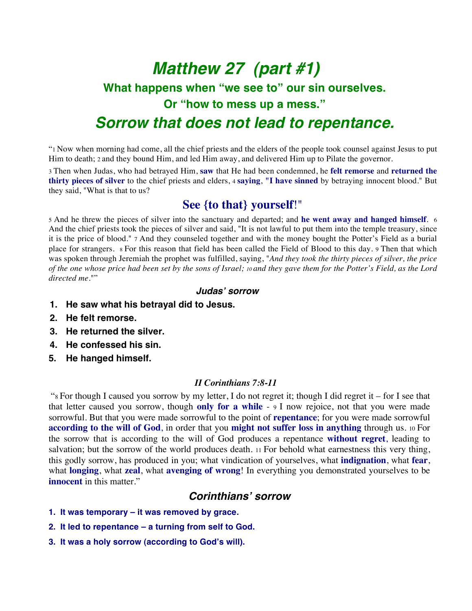# *Matthew 27 (part #1)* **What happens when "we see to" our sin ourselves. Or "how to mess up a mess."**  *Sorrow that does not lead to repentance.*

"1 Now when morning had come, all the chief priests and the elders of the people took counsel against Jesus to put Him to death; 2 and they bound Him, and led Him away, and delivered Him up to Pilate the governor.

3 Then when Judas, who had betrayed Him, **saw** that He had been condemned, he **felt remorse** and **returned the thirty pieces of silver** to the chief priests and elders, 4 **saying**, **"I have sinned** by betraying innocent blood." But they said, "What is that to us?

# **See {to that} yourself**!"

5 And he threw the pieces of silver into the sanctuary and departed; and **he went away and hanged himself**. 6 And the chief priests took the pieces of silver and said, "It is not lawful to put them into the temple treasury, since it is the price of blood." 7 And they counseled together and with the money bought the Potter's Field as a burial place for strangers. 8 For this reason that field has been called the Field of Blood to this day. 9 Then that which was spoken through Jeremiah the prophet was fulfilled, saying, "*And they took the thirty pieces of silver, the price of the one whose price had been set by the sons of Israel; 10 and they gave them for the Potter's Field, as the Lord directed me.*""

#### *Judas***'** *sorrow*

- **1. He saw what his betrayal did to Jesus.**
- **2. He felt remorse.**
- **3. He returned the silver.**
- **4. He confessed his sin.**
- **5. He hanged himself.**

#### *II Corinthians 7:8-11*

 "8 For though I caused you sorrow by my letter, I do not regret it; though I did regret it – for I see that that letter caused you sorrow, though **only for a while** - 9 I now rejoice, not that you were made sorrowful. But that you were made sorrowful to the point of **repentance**; for you were made sorrowful **according to the will of God**, in order that you **might not suffer loss in anything** through us. 10 For the sorrow that is according to the will of God produces a repentance **without regret**, leading to salvation; but the sorrow of the world produces death. 11 For behold what earnestness this very thing, this godly sorrow, has produced in you; what vindication of yourselves, what **indignation**, what **fear**, what **longing**, what **zeal**, what **avenging of wrong**! In everything you demonstrated yourselves to be **innocent** in this matter."

### *Corinthians***'** *sorrow*

- **1. It was temporary it was removed by grace.**
- **2. It led to repentance a turning from self to God.**
- **3. It was a holy sorrow (according to God's will).**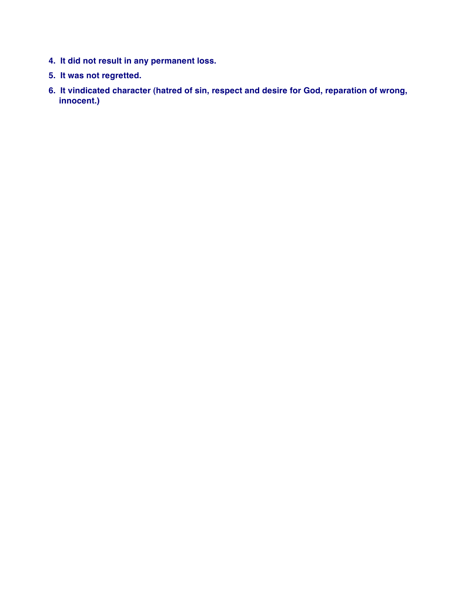- **4. It did not result in any permanent loss.**
- **5. It was not regretted.**
- **6. It vindicated character (hatred of sin, respect and desire for God, reparation of wrong, innocent.)**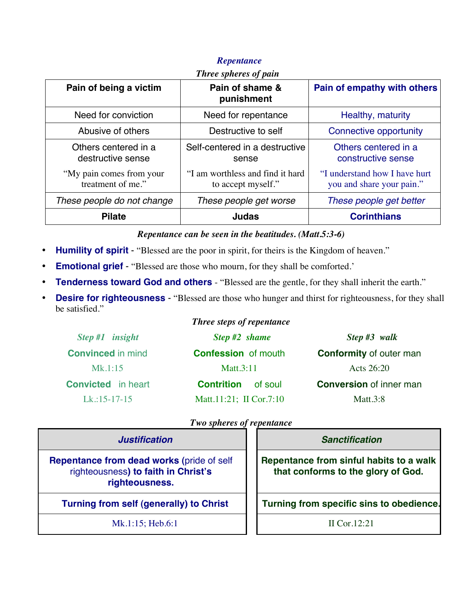| Three spheres of pain                         |                                                        |                                                            |  |  |
|-----------------------------------------------|--------------------------------------------------------|------------------------------------------------------------|--|--|
| Pain of being a victim                        | Pain of shame &<br>punishment                          | Pain of empathy with others                                |  |  |
| Need for conviction                           | Need for repentance                                    | Healthy, maturity                                          |  |  |
| Abusive of others                             | Destructive to self                                    | Connective opportunity                                     |  |  |
| Others centered in a<br>destructive sense     | Self-centered in a destructive<br>sense                | Others centered in a<br>constructive sense                 |  |  |
| "My pain comes from your<br>treatment of me." | "I am worthless and find it hard<br>to accept myself." | "I understand how I have hurt<br>you and share your pain." |  |  |
| These people do not change                    | These people get worse                                 | These people get better                                    |  |  |
| <b>Pilate</b>                                 | <b>Judas</b>                                           | <b>Corinthians</b>                                         |  |  |

## *Repentance*

*Repentance can be seen in the beatitudes. (Matt.5:3-6)*

- **Humility of spirit** "Blessed are the poor in spirit, for theirs is the Kingdom of heaven."
- **Emotional grief** "Blessed are those who mourn, for they shall be comforted.'
- **Tenderness toward God and others** "Blessed are the gentle, for they shall inherit the earth."
- **Desire for righteousness** "Blessed are those who hunger and thirst for righteousness, for they shall be satisfied."

# *Three steps of repentance*

| $Step #1$ insight         | Step #2 shame                | Step #3 walk                   |
|---------------------------|------------------------------|--------------------------------|
| <b>Convinced in mind</b>  | <b>Confession</b> of mouth   | <b>Conformity of outer man</b> |
| Mk.1:15                   | Matt. $3:11$                 | Acts $26:20$                   |
| <b>Convicted</b> in heart | <b>Contrition</b><br>of soul | <b>Conversion of inner man</b> |
| $Lk$ :15-17-15            | Matt.11:21; II Cor.7:10      | Matt.3:8                       |

#### *Two spheres of repentance*

| <b>Justification</b>                                                                                      | <b>Sanctification</b>                                                         |
|-----------------------------------------------------------------------------------------------------------|-------------------------------------------------------------------------------|
| <b>Repentance from dead works (pride of self</b><br>righteousness) to faith in Christ's<br>righteousness. | Repentance from sinful habits to a walk<br>that conforms to the glory of God. |
| <b>Turning from self (generally) to Christ</b>                                                            | Turning from specific sins to obedience.                                      |
| $Mk.1:15$ ; Heb.6:1                                                                                       | II Cor. $12:21$                                                               |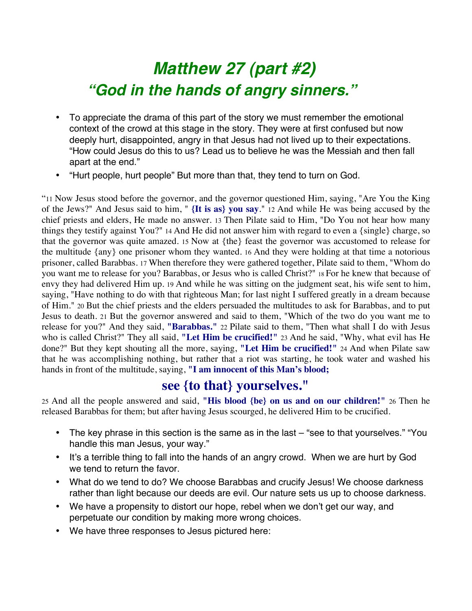# *Matthew 27 (part #2) "God in the hands of angry sinners."*

- To appreciate the drama of this part of the story we must remember the emotional context of the crowd at this stage in the story. They were at first confused but now deeply hurt, disappointed, angry in that Jesus had not lived up to their expectations. "How could Jesus do this to us? Lead us to believe he was the Messiah and then fall apart at the end."
- "Hurt people, hurt people" But more than that, they tend to turn on God.

"11 Now Jesus stood before the governor, and the governor questioned Him, saying, "Are You the King of the Jews?" And Jesus said to him, " **{It is as} you say**." 12 And while He was being accused by the chief priests and elders, He made no answer. 13 Then Pilate said to Him, "Do You not hear how many things they testify against You?" 14 And He did not answer him with regard to even a {single} charge, so that the governor was quite amazed. 15 Now at {the} feast the governor was accustomed to release for the multitude {any} one prisoner whom they wanted. 16 And they were holding at that time a notorious prisoner, called Barabbas. 17 When therefore they were gathered together, Pilate said to them, "Whom do you want me to release for you? Barabbas, or Jesus who is called Christ?" 18 For he knew that because of envy they had delivered Him up. 19 And while he was sitting on the judgment seat, his wife sent to him, saying, "Have nothing to do with that righteous Man; for last night I suffered greatly in a dream because of Him." 20 But the chief priests and the elders persuaded the multitudes to ask for Barabbas, and to put Jesus to death. 21 But the governor answered and said to them, "Which of the two do you want me to release for you?" And they said, **"Barabbas."** 22 Pilate said to them, "Then what shall I do with Jesus who is called Christ?" They all said, **"Let Him be crucified!"** 23 And he said, "Why, what evil has He done?" But they kept shouting all the more, saying, **"Let Him be crucified!"** 24 And when Pilate saw that he was accomplishing nothing, but rather that a riot was starting, he took water and washed his hands in front of the multitude, saying, **"I am innocent of this Man's blood;** 

# **see {to that} yourselves."**

25 And all the people answered and said, **"His blood {be} on us and on our children!"** 26 Then he released Barabbas for them; but after having Jesus scourged, he delivered Him to be crucified.

- The key phrase in this section is the same as in the last "see to that yourselves." "You handle this man Jesus, your way."
- It's a terrible thing to fall into the hands of an angry crowd. When we are hurt by God we tend to return the favor.
- What do we tend to do? We choose Barabbas and crucify Jesus! We choose darkness rather than light because our deeds are evil. Our nature sets us up to choose darkness.
- We have a propensity to distort our hope, rebel when we don't get our way, and perpetuate our condition by making more wrong choices.
- We have three responses to Jesus pictured here: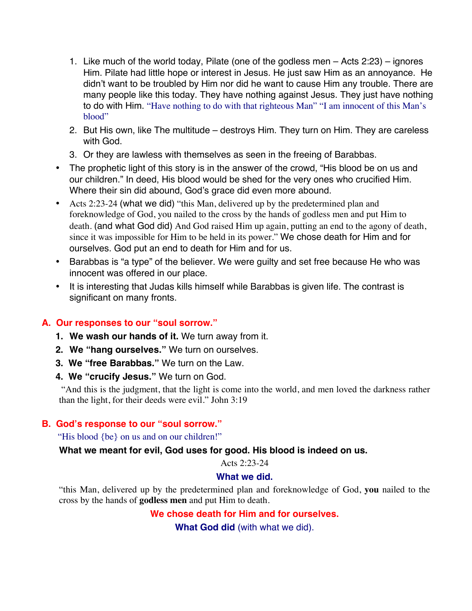- 1. Like much of the world today, Pilate (one of the godless men Acts 2:23) ignores Him. Pilate had little hope or interest in Jesus. He just saw Him as an annoyance. He didn't want to be troubled by Him nor did he want to cause Him any trouble. There are many people like this today. They have nothing against Jesus. They just have nothing to do with Him. "Have nothing to do with that righteous Man" "I am innocent of this Man's blood"
- 2. But His own, like The multitude destroys Him. They turn on Him. They are careless with God.
- 3. Or they are lawless with themselves as seen in the freeing of Barabbas.
- The prophetic light of this story is in the answer of the crowd, "His blood be on us and our children." In deed, His blood would be shed for the very ones who crucified Him. Where their sin did abound, God's grace did even more abound.
- Acts 2:23-24 (what we did) "this Man, delivered up by the predetermined plan and foreknowledge of God, you nailed to the cross by the hands of godless men and put Him to death. (and what God did) And God raised Him up again, putting an end to the agony of death, since it was impossible for Him to be held in its power." We chose death for Him and for ourselves. God put an end to death for Him and for us.
- Barabbas is "a type" of the believer. We were guilty and set free because He who was innocent was offered in our place.
- It is interesting that Judas kills himself while Barabbas is given life. The contrast is significant on many fronts.

## **A. Our responses to our "soul sorrow."**

- **1. We wash our hands of it.** We turn away from it.
- **2. We "hang ourselves."** We turn on ourselves.
- **3. We "free Barabbas."** We turn on the Law.
- **4. We "crucify Jesus."** We turn on God.

 "And this is the judgment, that the light is come into the world, and men loved the darkness rather than the light, for their deeds were evil." John 3:19

## **B. God's response to our "soul sorrow."**

"His blood {be} on us and on our children!"

### **What we meant for evil, God uses for good. His blood is indeed on us.**

Acts 2:23-24

### **What we did.**

"this Man, delivered up by the predetermined plan and foreknowledge of God, **you** nailed to the cross by the hands of **godless men** and put Him to death.

## **We chose death for Him and for ourselves.**

**What God did** (with what we did).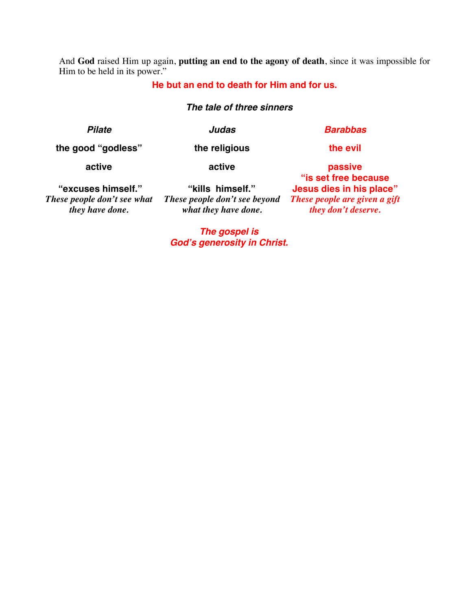And **God** raised Him up again, **putting an end to the agony of death**, since it was impossible for Him to be held in its power."

#### **He but an end to death for Him and for us.**

#### *The tale of three sinners*

*Pilate Judas Barabbas*

**the good "godless" the religious the evil**

**active**

**active**

 **"excuses himself."**  *These people don't see what they have done.*

**"kills himself."** *These people don't see beyond what they have done.*

**passive "is set free because Jesus dies in his place"** *These people are given a gift they don't deserve.*

*The gospel is God***'***s generosity in Christ.*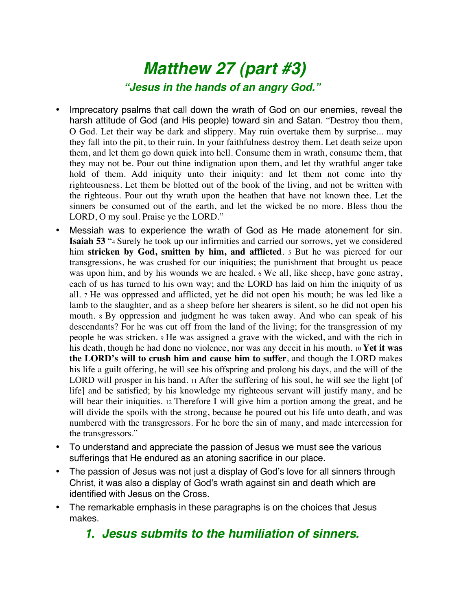# *Matthew 27 (part #3) "Jesus in the hands of an angry God."*

- Imprecatory psalms that call down the wrath of God on our enemies, reveal the harsh attitude of God (and His people) toward sin and Satan. "Destroy thou them, O God. Let their way be dark and slippery. May ruin overtake them by surprise... may they fall into the pit, to their ruin. In your faithfulness destroy them. Let death seize upon them, and let them go down quick into hell. Consume them in wrath, consume them, that they may not be. Pour out thine indignation upon them, and let thy wrathful anger take hold of them. Add iniquity unto their iniquity: and let them not come into thy righteousness. Let them be blotted out of the book of the living, and not be written with the righteous. Pour out thy wrath upon the heathen that have not known thee. Let the sinners be consumed out of the earth, and let the wicked be no more. Bless thou the LORD, O my soul. Praise ye the LORD."
- Messiah was to experience the wrath of God as He made atonement for sin. **Isaiah 53** "4 Surely he took up our infirmities and carried our sorrows, yet we considered him **stricken by God, smitten by him, and afflicted**. 5 But he was pierced for our transgressions, he was crushed for our iniquities; the punishment that brought us peace was upon him, and by his wounds we are healed. 6 We all, like sheep, have gone astray, each of us has turned to his own way; and the LORD has laid on him the iniquity of us all. 7 He was oppressed and afflicted, yet he did not open his mouth; he was led like a lamb to the slaughter, and as a sheep before her shearers is silent, so he did not open his mouth. 8 By oppression and judgment he was taken away. And who can speak of his descendants? For he was cut off from the land of the living; for the transgression of my people he was stricken. 9 He was assigned a grave with the wicked, and with the rich in his death, though he had done no violence, nor was any deceit in his mouth. 10 **Yet it was the LORD's will to crush him and cause him to suffer**, and though the LORD makes his life a guilt offering, he will see his offspring and prolong his days, and the will of the LORD will prosper in his hand. 11 After the suffering of his soul, he will see the light [of life] and be satisfied; by his knowledge my righteous servant will justify many, and he will bear their iniquities. 12 Therefore I will give him a portion among the great, and he will divide the spoils with the strong, because he poured out his life unto death, and was numbered with the transgressors. For he bore the sin of many, and made intercession for the transgressors."
- To understand and appreciate the passion of Jesus we must see the various sufferings that He endured as an atoning sacrifice in our place.
- The passion of Jesus was not just a display of God's love for all sinners through Christ, it was also a display of God's wrath against sin and death which are identified with Jesus on the Cross.
- The remarkable emphasis in these paragraphs is on the choices that Jesus makes.

# *1. Jesus submits to the humiliation of sinners.*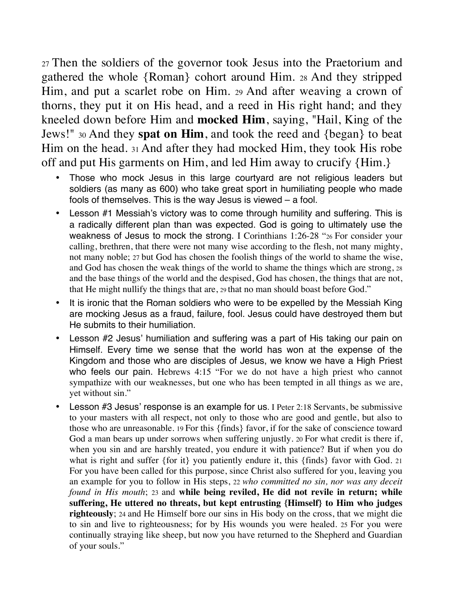27 Then the soldiers of the governor took Jesus into the Praetorium and gathered the whole {Roman} cohort around Him. 28 And they stripped Him, and put a scarlet robe on Him. 29 And after weaving a crown of thorns, they put it on His head, and a reed in His right hand; and they kneeled down before Him and **mocked Him**, saying, "Hail, King of the Jews!" 30 And they **spat on Him**, and took the reed and {began} to beat Him on the head. 31 And after they had mocked Him, they took His robe off and put His garments on Him, and led Him away to crucify {Him.}

- Those who mock Jesus in this large courtyard are not religious leaders but soldiers (as many as 600) who take great sport in humiliating people who made fools of themselves. This is the way Jesus is viewed – a fool.
- Lesson #1 Messiah's victory was to come through humility and suffering. This is a radically different plan than was expected. God is going to ultimately use the weakness of Jesus to mock the strong. I Corinthians 1:26-28 "26 For consider your calling, brethren, that there were not many wise according to the flesh, not many mighty, not many noble; 27 but God has chosen the foolish things of the world to shame the wise, and God has chosen the weak things of the world to shame the things which are strong, 28 and the base things of the world and the despised, God has chosen, the things that are not, that He might nullify the things that are, 29 that no man should boast before God."
- It is ironic that the Roman soldiers who were to be expelled by the Messiah King are mocking Jesus as a fraud, failure, fool. Jesus could have destroyed them but He submits to their humiliation.
- Lesson #2 Jesus' humiliation and suffering was a part of His taking our pain on Himself. Every time we sense that the world has won at the expense of the Kingdom and those who are disciples of Jesus, we know we have a High Priest who feels our pain. Hebrews 4:15 "For we do not have a high priest who cannot sympathize with our weaknesses, but one who has been tempted in all things as we are, yet without sin."
- Lesson #3 Jesus' response is an example for us. I Peter 2:18 Servants, be submissive to your masters with all respect, not only to those who are good and gentle, but also to those who are unreasonable. 19 For this {finds} favor, if for the sake of conscience toward God a man bears up under sorrows when suffering unjustly. 20 For what credit is there if, when you sin and are harshly treated, you endure it with patience? But if when you do what is right and suffer {for it} you patiently endure it, this {finds} favor with God. 21 For you have been called for this purpose, since Christ also suffered for you, leaving you an example for you to follow in His steps, 22 *who committed no sin, nor was any deceit found in His mouth*; 23 and **while being reviled, He did not revile in return; while suffering, He uttered no threats, but kept entrusting {Himself} to Him who judges righteously**; 24 and He Himself bore our sins in His body on the cross, that we might die to sin and live to righteousness; for by His wounds you were healed. 25 For you were continually straying like sheep, but now you have returned to the Shepherd and Guardian of your souls."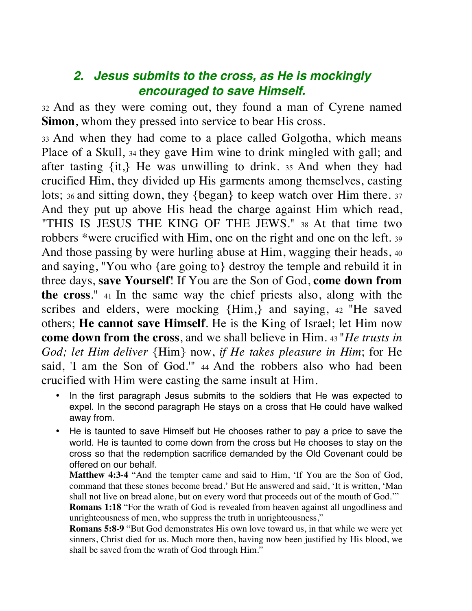# *2. Jesus submits to the cross, as He is mockingly encouraged to save Himself.*

32 And as they were coming out, they found a man of Cyrene named **Simon**, whom they pressed into service to bear His cross.

33 And when they had come to a place called Golgotha, which means Place of a Skull, 34 they gave Him wine to drink mingled with gall; and after tasting {it,} He was unwilling to drink. 35 And when they had crucified Him, they divided up His garments among themselves, casting lots; 36 and sitting down, they {began} to keep watch over Him there. 37 And they put up above His head the charge against Him which read, "THIS IS JESUS THE KING OF THE JEWS." 38 At that time two robbers \*were crucified with Him, one on the right and one on the left. 39 And those passing by were hurling abuse at Him, wagging their heads, 40 and saying, "You who {are going to} destroy the temple and rebuild it in three days, **save Yourself**! If You are the Son of God, **come down from the cross**." 41 In the same way the chief priests also, along with the scribes and elders, were mocking {Him,} and saying, 42 "He saved others; **He cannot save Himself**. He is the King of Israel; let Him now **come down from the cross**, and we shall believe in Him. 43 "*He trusts in God; let Him deliver* {Him} now, *if He takes pleasure in Him*; for He said, 'I am the Son of God.'" 44 And the robbers also who had been crucified with Him were casting the same insult at Him.

- In the first paragraph Jesus submits to the soldiers that He was expected to expel. In the second paragraph He stays on a cross that He could have walked away from.
- He is taunted to save Himself but He chooses rather to pay a price to save the world. He is taunted to come down from the cross but He chooses to stay on the cross so that the redemption sacrifice demanded by the Old Covenant could be offered on our behalf.

**Matthew 4:3-4** "And the tempter came and said to Him, 'If You are the Son of God, command that these stones become bread.' But He answered and said, 'It is written, 'Man shall not live on bread alone, but on every word that proceeds out of the mouth of God.'"

**Romans 1:18** "For the wrath of God is revealed from heaven against all ungodliness and unrighteousness of men, who suppress the truth in unrighteousness,"

**Romans 5:8-9** "But God demonstrates His own love toward us, in that while we were yet sinners, Christ died for us. Much more then, having now been justified by His blood, we shall be saved from the wrath of God through Him."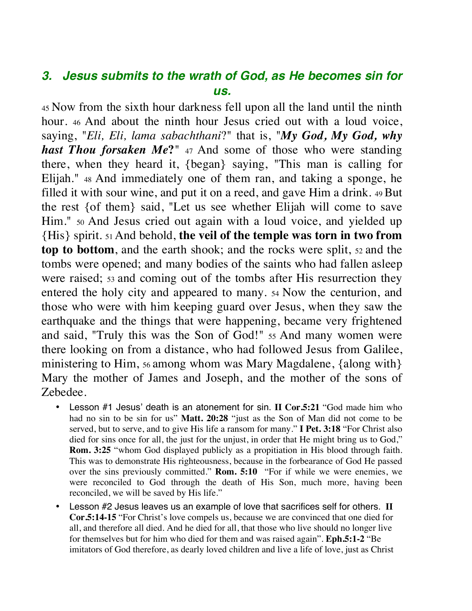# *3. Jesus submits to the wrath of God, as He becomes sin for us.*

45 Now from the sixth hour darkness fell upon all the land until the ninth hour. 46 And about the ninth hour Jesus cried out with a loud voice, saying, "*Eli, Eli, lama sabachthani*?" that is, "*My God, My God, why hast Thou forsaken Me***?**" 47 And some of those who were standing there, when they heard it, {began} saying, "This man is calling for Elijah." 48 And immediately one of them ran, and taking a sponge, he filled it with sour wine, and put it on a reed, and gave Him a drink. 49 But the rest {of them} said, "Let us see whether Elijah will come to save Him." 50 And Jesus cried out again with a loud voice, and yielded up {His} spirit. 51 And behold, **the veil of the temple was torn in two from top to bottom**, and the earth shook; and the rocks were split,  $52$  and the tombs were opened; and many bodies of the saints who had fallen asleep were raised; 53 and coming out of the tombs after His resurrection they entered the holy city and appeared to many. 54 Now the centurion, and those who were with him keeping guard over Jesus, when they saw the earthquake and the things that were happening, became very frightened and said, "Truly this was the Son of God!" 55 And many women were there looking on from a distance, who had followed Jesus from Galilee, ministering to Him, 56 among whom was Mary Magdalene, {along with} Mary the mother of James and Joseph, and the mother of the sons of Zebedee.

- Lesson #1 Jesus' death is an atonement for sin. **II Cor.5:21** "God made him who had no sin to be sin for us" **Matt. 20:28** "just as the Son of Man did not come to be served, but to serve, and to give His life a ransom for many." **I Pet. 3:18** "For Christ also died for sins once for all, the just for the unjust, in order that He might bring us to God," **Rom. 3:25** "whom God displayed publicly as a propitiation in His blood through faith. This was to demonstrate His righteousness, because in the forbearance of God He passed over the sins previously committed." **Rom. 5:10** "For if while we were enemies, we were reconciled to God through the death of His Son, much more, having been reconciled, we will be saved by His life."
- Lesson #2 Jesus leaves us an example of love that sacrifices self for others. **II Cor.5:14-15** "For Christ's love compels us, because we are convinced that one died for all, and therefore all died. And he died for all, that those who live should no longer live for themselves but for him who died for them and was raised again". **Eph.5:1-2** "Be imitators of God therefore, as dearly loved children and live a life of love, just as Christ